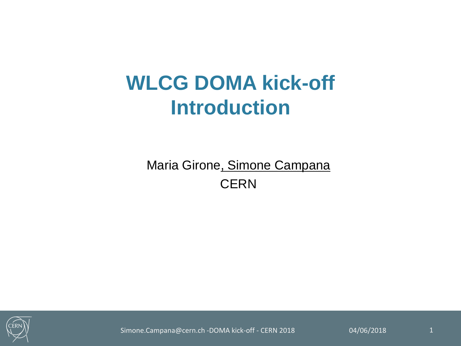### **WLCG DOMA kick-off Introduction**

Maria Girone, Simone Campana **CERN** 



Simone.Campana@cern.ch -DOMA kick-off - CERN 2018 04/06/2018 1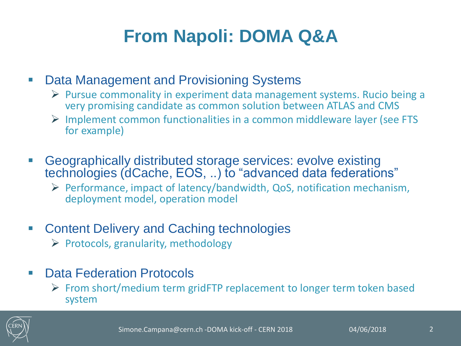### **From Napoli: DOMA Q&A**

#### **• Data Management and Provisioning Systems**

- $\triangleright$  Pursue commonality in experiment data management systems. Rucio being a very promising candidate as common solution between ATLAS and CMS
- $\triangleright$  Implement common functionalities in a common middleware layer (see FTS for example)
- Geographically distributed storage services: evolve existing technologies (dCache, EOS, ..) to "advanced data federations"
	- $\triangleright$  Performance, impact of latency/bandwidth, QoS, notification mechanism, deployment model, operation model
- **EXECONTER CONTERT CONTERENT CONTERENT CONTERENT CONTERENT CONTERENT CONTERENT CONTERENT CONTERENT CONTERENT CONTERENT CONTERENT CONTERENT CONTERENT CONTERENT CONTE** 
	- $\triangleright$  Protocols, granularity, methodology
- Data Federation Protocols
	- $\triangleright$  From short/medium term gridFTP replacement to longer term token based system

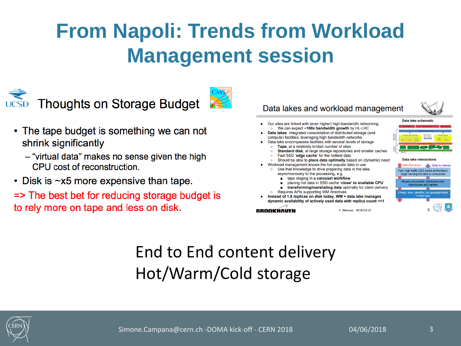## **From Napoli: Trends from Workload Management session**





- The tape budget is something we can not shrink significantly
	- "virtual data" makes no sense given the high CPU cost of reconstruction.
- Disk is  $\sim$ x5 more expensive than tape.
- $\Rightarrow$  The best bet for reducing storage budget is to rely more on tape and less on disk.



#### End to End content delivery Hot/Warm/Cold storage

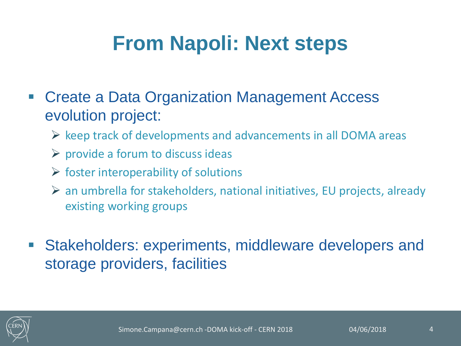### **From Napoli: Next steps**

- **Example 2 Create a Data Organization Management Access** evolution project:
	- $\triangleright$  keep track of developments and advancements in all DOMA areas
	- $\triangleright$  provide a forum to discuss ideas
	- $\triangleright$  foster interoperability of solutions
	- an umbrella for stakeholders, national initiatives, EU projects, already existing working groups
- Stakeholders: experiments, middleware developers and storage providers, facilities

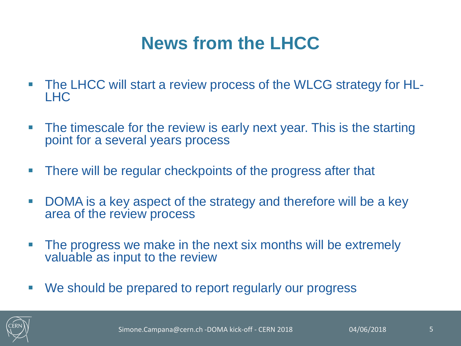### **News from the LHCC**

- The LHCC will start a review process of the WLCG strategy for HL-LHC
- **The timescale for the review is early next year. This is the starting** point for a several years process
- **There will be regular checkpoints of the progress after that**
- DOMA is a key aspect of the strategy and therefore will be a key area of the review process
- **The progress we make in the next six months will be extremely** valuable as input to the review
- We should be prepared to report regularly our progress